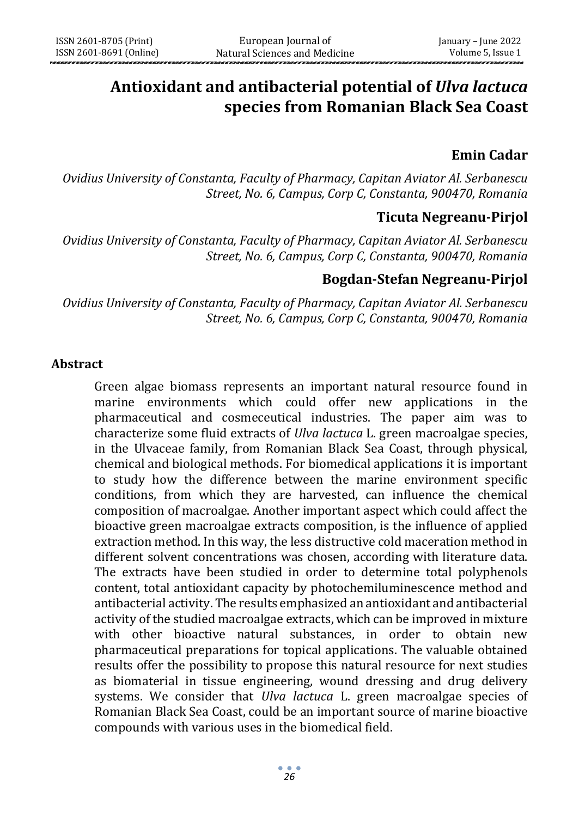# **Antioxidant and antibacterial potential of** *Ulva lactuca* **species from Romanian Black Sea Coast**

## **Emin Cadar**

*Ovidius University of Constanta, Faculty of Pharmacy, Capitan Aviator Al. Serbanescu Street, No. 6, Campus, Corp C, Constanta, 900470, Romania*

## **Ticuta Negreanu-Pirjol**

*Ovidius University of Constanta, Faculty of Pharmacy, Capitan Aviator Al. Serbanescu Street, No. 6, Campus, Corp C, Constanta, 900470, Romania*

# **Bogdan-Stefan Negreanu-Pirjol**

*Ovidius University of Constanta, Faculty of Pharmacy, Capitan Aviator Al. Serbanescu Street, No. 6, Campus, Corp C, Constanta, 900470, Romania*

#### **Abstract**

Green algae biomass represents an important natural resource found in marine environments which could offer new applications in the pharmaceutical and cosmeceutical industries. The paper aim was to characterize some fluid extracts of *Ulva lactuca* L. green macroalgae species, in the Ulvaceae family, from Romanian Black Sea Coast, through physical, chemical and biological methods. For biomedical applications it is important to study how the difference between the marine environment specific conditions, from which they are harvested, can influence the chemical composition of macroalgae. Another important aspect which could affect the bioactive green macroalgae extracts composition, is the influence of applied extraction method. In this way, the less distructive cold maceration method in different solvent concentrations was chosen, according with literature data. The extracts have been studied in order to determine total polyphenols content, total antioxidant capacity by photochemiluminescence method and antibacterial activity. The results emphasized an antioxidant and antibacterial activity of the studied macroalgae extracts, which can be improved in mixture with other bioactive natural substances, in order to obtain new pharmaceutical preparations for topical applications. The valuable obtained results offer the possibility to propose this natural resource for next studies as biomaterial in tissue engineering, wound dressing and drug delivery systems. We consider that *Ulva lactuca* L. green macroalgae species of Romanian Black Sea Coast, could be an important source of marine bioactive compounds with various uses in the biomedical field.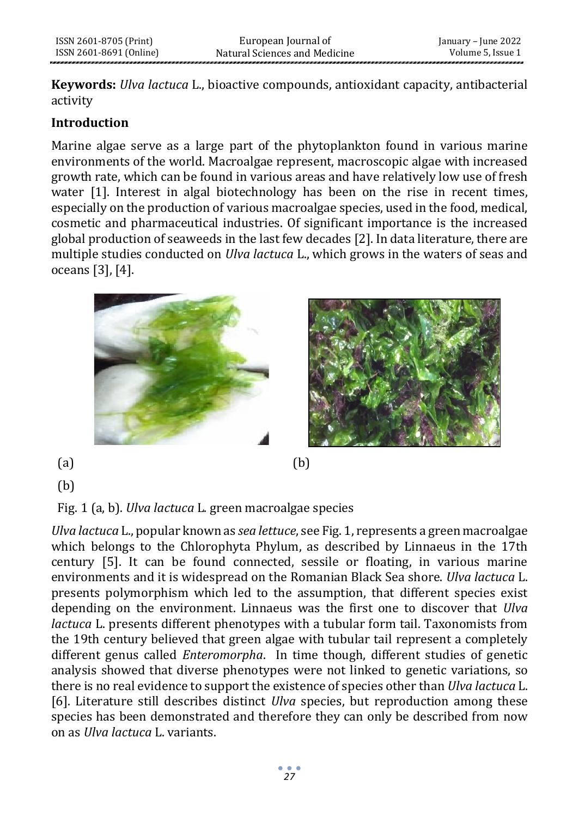**Keywords:** *Ulva lactuca* L., bioactive compounds, antioxidant capacity, antibacterial activity

### **Introduction**

Marine algae serve as a large part of the phytoplankton found in various marine environments of the world. Macroalgae represent, macroscopic algae with increased growth rate, which can be found in various areas and have relatively low use of fresh water [1]. Interest in algal biotechnology has been on the rise in recent times, especially on the production of various macroalgae species, used in the food, medical, cosmetic and pharmaceutical industries. Of significant importance is the increased global production of seaweeds in the last few decades [2]. In data literature, there are multiple studies conducted on *Ulva lactuca* L., which grows in the waters of seas and oceans [3], [4].



(b)

Fig. 1 (a, b). *Ulva lactuca* L. green macroalgae species

*Ulva lactuca* L., popular known as *sea lettuce*, see Fig. 1, represents a green macroalgae which belongs to the Chlorophyta Phylum, as described by Linnaeus in the 17th century [5]. It can be found connected, sessile or floating, in various marine environments and it is widespread on the Romanian Black Sea shore. *Ulva lactuca* L. presents polymorphism which led to the assumption, that different species exist depending on the environment. Linnaeus was the first one to discover that *Ulva lactuca* L. presents different phenotypes with a tubular form tail. Taxonomists from the 19th century believed that green algae with tubular tail represent a completely different genus called *Enteromorpha*. In time though, different studies of genetic analysis showed that diverse phenotypes were not linked to genetic variations, so there is no real evidence to support the existence of species other than *Ulva lactuca* L. [6]. Literature still describes distinct *Ulva* species, but reproduction among these species has been demonstrated and therefore they can only be described from now on as *Ulva lactuca* L. variants.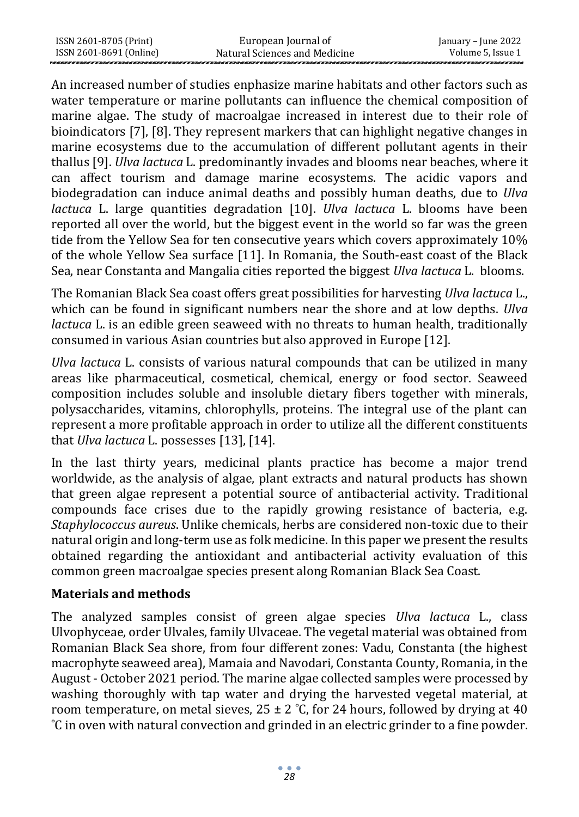| ISSN 2601-8705 (Print)  | European Journal of           | January – June 2022 |
|-------------------------|-------------------------------|---------------------|
| ISSN 2601-8691 (Online) | Natural Sciences and Medicine | Volume 5, Issue 1   |

An increased number of studies enphasize marine habitats and other factors such as water temperature or marine pollutants can influence the chemical composition of marine algae. The study of macroalgae increased in interest due to their role of bioindicators [7], [8]. They represent markers that can highlight negative changes in marine ecosystems due to the accumulation of different pollutant agents in their thallus [9]. *Ulva lactuca* L. predominantly invades and blooms near beaches, where it can affect tourism and damage marine ecosystems. The acidic vapors and biodegradation can induce animal deaths and possibly human deaths, due to *Ulva lactuca* L. large quantities degradation [10]. *Ulva lactuca* L. blooms have been reported all over the world, but the biggest event in the world so far was the green tide from the Yellow Sea for ten consecutive years which covers approximately 10% of the whole Yellow Sea surface [11]. In Romania, the South-east coast of the Black Sea, near Constanta and Mangalia cities reported the biggest *Ulva lactuca* L. blooms.

The Romanian Black Sea coast offers great possibilities for harvesting *Ulva lactuca* L., which can be found in significant numbers near the shore and at low depths. *Ulva lactuca* L. is an edible green seaweed with no threats to human health, traditionally consumed in various Asian countries but also approved in Europe [12].

*Ulva lactuca* L. consists of various natural compounds that can be utilized in many areas like pharmaceutical, cosmetical, chemical, energy or food sector. Seaweed composition includes soluble and insoluble dietary fibers together with minerals, polysaccharides, vitamins, chlorophylls, proteins. The integral use of the plant can represent a more profitable approach in order to utilize all the different constituents that *Ulva lactuca* L. possesses [13], [14].

In the last thirty years, medicinal plants practice has become a major trend worldwide, as the analysis of algae, plant extracts and natural products has shown that green algae represent a potential source of antibacterial activity. Traditional compounds face crises due to the rapidly growing resistance of bacteria, e.g. *Staphylococcus aureus*. Unlike chemicals, herbs are considered non-toxic due to their natural origin and long-term use as folk medicine. In this paper we present the results obtained regarding the antioxidant and antibacterial activity evaluation of this common green macroalgae species present along Romanian Black Sea Coast.

#### **Materials and methods**

The analyzed samples consist of green algae species *Ulva lactuca* L., class Ulvophyceae, order Ulvales, family Ulvaceae. The vegetal material was obtained from Romanian Black Sea shore, from four different zones: Vadu, Constanta (the highest macrophyte seaweed area), Mamaia and Navodari, Constanta County, Romania, in the August - October 2021 period. The marine algae collected samples were processed by washing thoroughly with tap water and drying the harvested vegetal material, at room temperature, on metal sieves,  $25 \pm 2$  °C, for 24 hours, followed by drying at 40 ˚C in oven with natural convection and grinded in an electric grinder to a fine powder.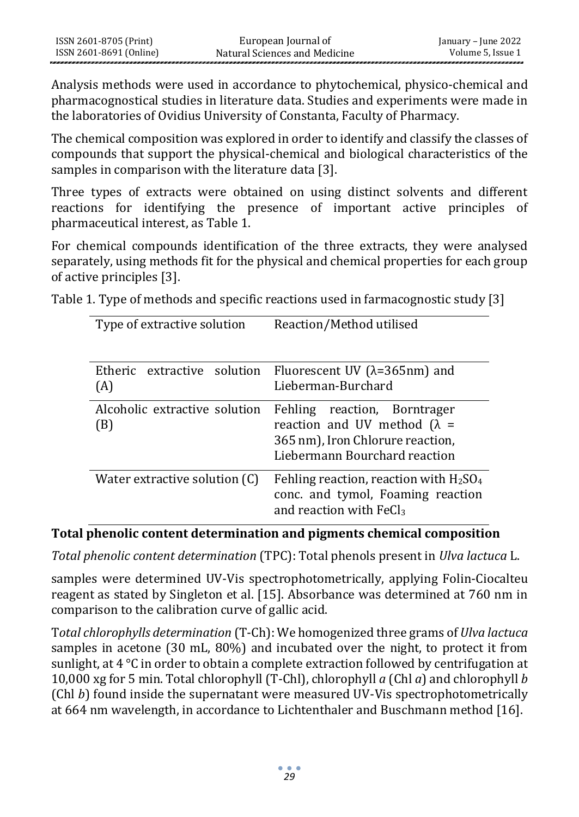Analysis methods were used in accordance to phytochemical, physico-chemical and pharmacognostical studies in literature data. Studies and experiments were made in the laboratories of Ovidius University of Constanta, Faculty of Pharmacy.

The chemical composition was explored in order to identify and classify the classes of compounds that support the physical-chemical and biological characteristics of the samples in comparison with the literature data [3].

Three types of extracts were obtained on using distinct solvents and different reactions for identifying the presence of important active principles of pharmaceutical interest, as Table 1.

For chemical compounds identification of the three extracts, they were analysed separately, using methods fit for the physical and chemical properties for each group of active principles [3].

Table 1. Type of methods and specific reactions used in farmacognostic study [3]

| Type of extractive solution          | Reaction/Method utilised                                                                                                                    |
|--------------------------------------|---------------------------------------------------------------------------------------------------------------------------------------------|
|                                      | Etheric extractive solution Fluorescent UV $(\lambda=365$ nm) and                                                                           |
| (A)                                  | Lieberman-Burchard                                                                                                                          |
| Alcoholic extractive solution<br>(B) | Fehling<br>reaction, Borntrager<br>reaction and UV method $(\lambda =$<br>365 nm), Iron Chlorure reaction,<br>Liebermann Bourchard reaction |
| Water extractive solution (C)        | Fehling reaction, reaction with $H_2SO_4$<br>conc. and tymol, Foaming reaction<br>and reaction with $FeCl3$                                 |

#### **Total phenolic content determination and pigments chemical composition**

*Total phenolic content determination* (TPC): Total phenols present in *Ulva lactuca* L.

samples were determined UV-Vis spectrophotometrically, applying Folin-Ciocalteu reagent as stated by Singleton et al. [15]. Absorbance was determined at 760 nm in comparison to the calibration curve of gallic acid.

T*otal chlorophylls determination* (T-Ch): We homogenized three grams of *Ulva lactuca* samples in acetone (30 mL, 80%) and incubated over the night, to protect it from sunlight, at  $4^{\circ}$ C in order to obtain a complete extraction followed by centrifugation at 10,000 xg for 5 min. Total chlorophyll (T-Chl), chlorophyll *a* (Chl *a*) and chlorophyll *b* (Chl *b*) found inside the supernatant were measured UV-Vis spectrophotometrically at 664 nm wavelength, in accordance to Lichtenthaler and Buschmann method [16].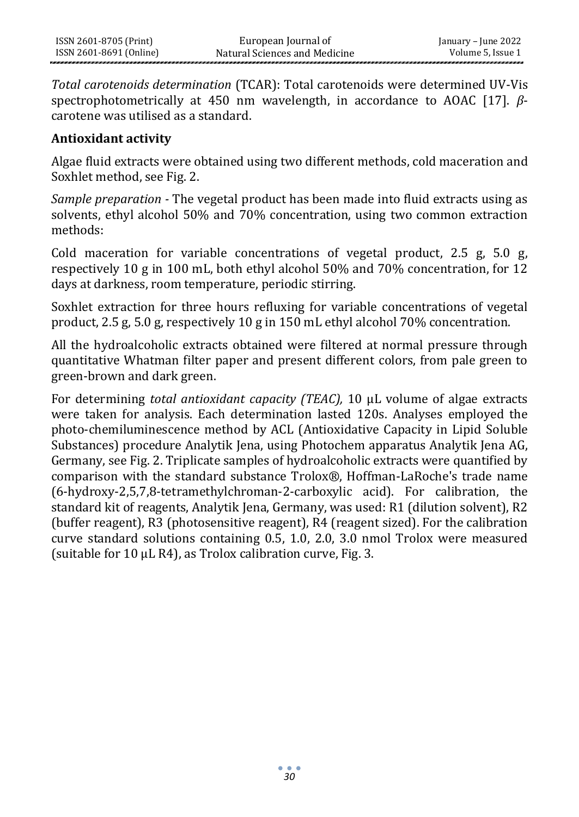*Total carotenoids determination* (TCAR): Total carotenoids were determined UV-Vis spectrophotometrically at 450 nm wavelength, in accordance to AOAC [17]. *β*carotene was utilised as a standard.

#### **Antioxidant activity**

Algae fluid extracts were obtained using two different methods, cold maceration and Soxhlet method, see Fig. 2.

*Sample preparation -* The vegetal product has been made into fluid extracts using as solvents, ethyl alcohol 50% and 70% concentration, using two common extraction methods:

Cold maceration for variable concentrations of vegetal product,  $2.5 \,$ g,  $5.0 \,$ g, respectively 10 g in 100 mL, both ethyl alcohol 50% and 70% concentration, for 12 days at darkness, room temperature, periodic stirring.

Soxhlet extraction for three hours refluxing for variable concentrations of vegetal product, 2.5 g, 5.0 g, respectively 10 g in 150 mL ethyl alcohol 70% concentration.

All the hydroalcoholic extracts obtained were filtered at normal pressure through quantitative Whatman filter paper and present different colors, from pale green to green-brown and dark green.

For determining *total antioxidant capacity (TEAC),* 10 μL volume of algae extracts were taken for analysis. Each determination lasted 120s. Analyses employed the photo-chemiluminescence method by ACL (Antioxidative Capacity in Lipid Soluble Substances) procedure Analytik Jena, using Photochem apparatus Analytik Jena AG, Germany, see Fig. 2. Triplicate samples of hydroalcoholic extracts were quantified by comparison with the standard substance Trolox®, Hoffman-LaRoche's trade name (6-hydroxy-2,5,7,8-tetramethylchroman-2-carboxylic acid). For calibration, the standard kit of reagents, Analytik Jena, Germany, was used: R1 (dilution solvent), R2 (buffer reagent), R3 (photosensitive reagent), R4 (reagent sized). For the calibration curve standard solutions containing 0.5, 1.0, 2.0, 3.0 nmol Trolox were measured (suitable for 10 μL R4), as Trolox calibration curve, Fig. 3.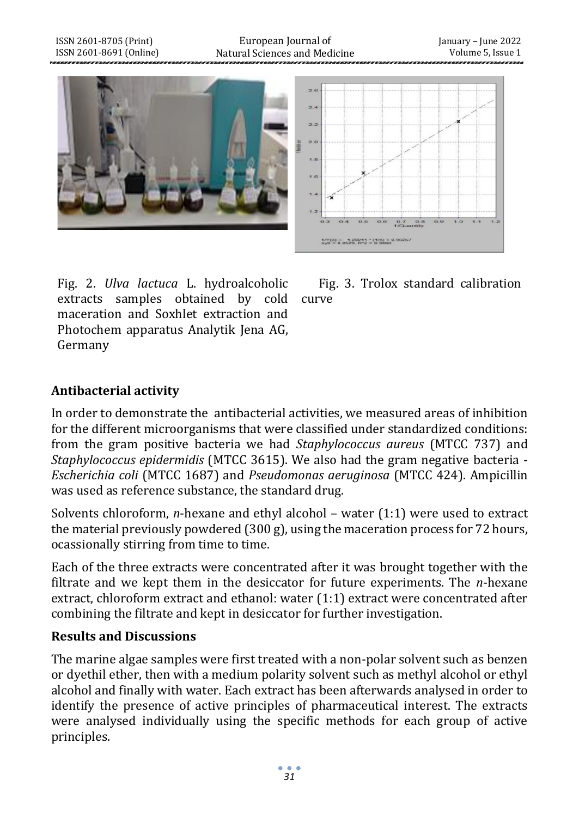

Fig. 2. *Ulva lactuca* L. hydroalcoholic extracts samples obtained by cold curve maceration and Soxhlet extraction and Photochem apparatus Analytik Jena AG, Germany

Fig. 3. Trolox standard calibration

# **Antibacterial activity**

ISSN 2601-8705 (Print) ISSN 2601-8691 (Online)

In order to demonstrate the antibacterial activities, we measured areas of inhibition for the different microorganisms that were classified under standardized conditions: from the gram positive bacteria we had *Staphylococcus aureus* (MTCC 737) and *Staphylococcus epidermidis* (MTCC 3615). We also had the gram negative bacteria - *Escherichia coli* (MTCC 1687) and *Pseudomonas aeruginosa* (MTCC 424). Ampicillin was used as reference substance, the standard drug.

Solvents chloroform, *n*-hexane and ethyl alcohol – water (1:1) were used to extract the material previously powdered (300 g), using the maceration process for 72 hours, ocassionally stirring from time to time.

Each of the three extracts were concentrated after it was brought together with the filtrate and we kept them in the desiccator for future experiments. The *n*-hexane extract, chloroform extract and ethanol: water (1:1) extract were concentrated after combining the filtrate and kept in desiccator for further investigation.

#### **Results and Discussions**

The marine algae samples were first treated with a non-polar solvent such as benzen or dyethil ether, then with a medium polarity solvent such as methyl alcohol or ethyl alcohol and finally with water. Each extract has been afterwards analysed in order to identify the presence of active principles of pharmaceutical interest. The extracts were analysed individually using the specific methods for each group of active principles.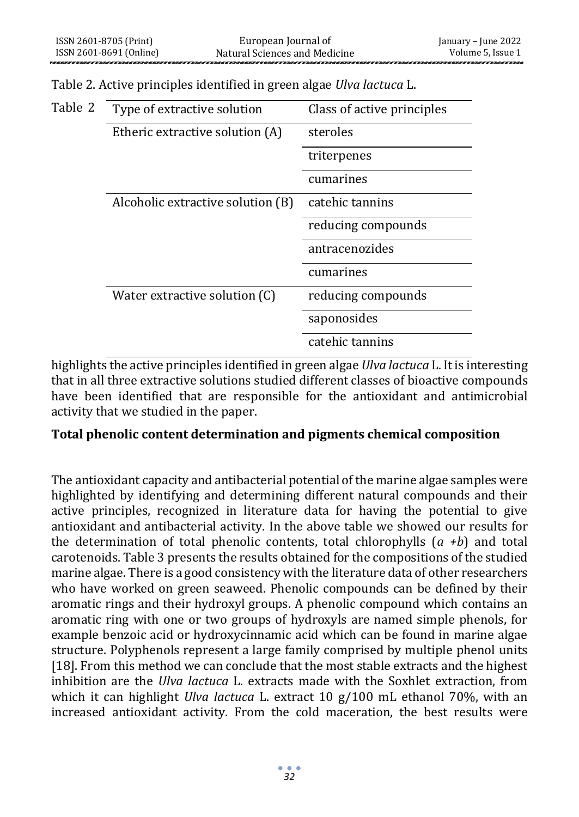| Table 2<br>Type of extractive solution |                                   | Class of active principles |  |
|----------------------------------------|-----------------------------------|----------------------------|--|
|                                        | Etheric extractive solution (A)   | steroles                   |  |
|                                        |                                   | triterpenes                |  |
|                                        |                                   | cumarines                  |  |
|                                        | Alcoholic extractive solution (B) | catehic tannins            |  |
|                                        |                                   | reducing compounds         |  |
|                                        |                                   | antracenozides             |  |
|                                        |                                   | cumarines                  |  |
|                                        | Water extractive solution (C)     | reducing compounds         |  |
|                                        |                                   | saponosides                |  |
|                                        |                                   | catehic tannins            |  |

Table 2. Active principles identified in green algae *Ulva lactuca* L.

highlights the active principles identified in green algae *Ulva lactuca* L. It is interesting that in all three extractive solutions studied different classes of bioactive compounds have been identified that are responsible for the antioxidant and antimicrobial activity that we studied in the paper.

#### **Total phenolic content determination and pigments chemical composition**

The antioxidant capacity and antibacterial potential of the marine algae samples were highlighted by identifying and determining different natural compounds and their active principles, recognized in literature data for having the potential to give antioxidant and antibacterial activity. In the above table we showed our results for the determination of total phenolic contents, total chlorophylls (*a +b*) and total carotenoids. Table 3 presents the results obtained for the compositions of the studied marine algae. There is a good consistency with the literature data of other researchers who have worked on green seaweed. Phenolic compounds can be defined by their aromatic rings and their hydroxyl groups. A phenolic compound which contains an aromatic ring with one or two groups of hydroxyls are named simple phenols, for example benzoic acid or hydroxycinnamic acid which can be found in marine algae structure. Polyphenols represent a large family comprised by multiple phenol units [18]. From this method we can conclude that the most stable extracts and the highest inhibition are the *Ulva lactuca* L. extracts made with the Soxhlet extraction, from which it can highlight *Ulva lactuca* L. extract 10 g/100 mL ethanol 70%, with an increased antioxidant activity. From the cold maceration, the best results were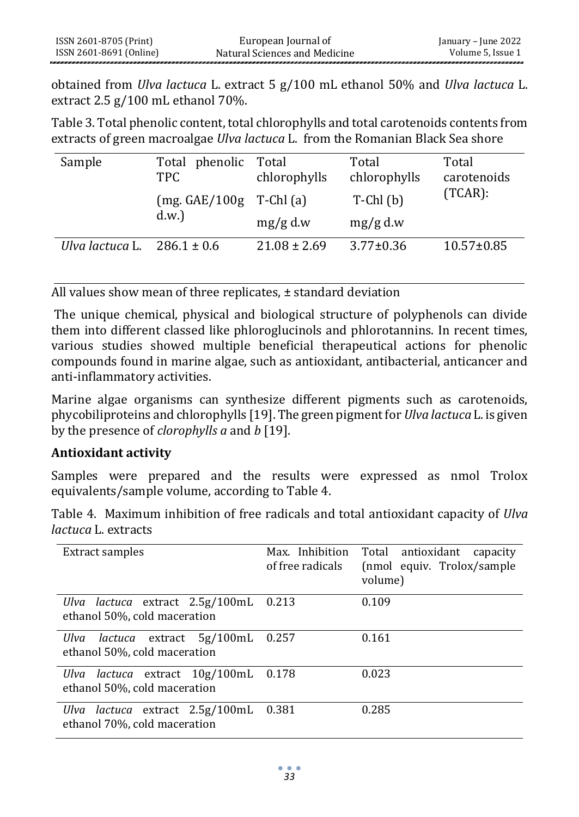obtained from *Ulva lactuca* L. extract 5 g/100 mL ethanol 50% and *Ulva lactuca* L. extract 2.5 g/100 mL ethanol 70%.

Table 3. Total phenolic content, total chlorophylls and total carotenoids contents from extracts of green macroalgae *Ulva lactuca* L. from the Romanian Black Sea shore

| Sample          | Total phenolic<br><b>TPC</b>        | Total<br>chlorophylls | Total<br>chlorophylls | Total<br>carotenoids |
|-----------------|-------------------------------------|-----------------------|-----------------------|----------------------|
|                 | $(mg. GAE/100g$ T-Chl $(a)$<br>d.w. |                       | $T$ -Chl $(b)$        | $(TCAR)$ :           |
|                 |                                     | $mg/g$ d.w            | $mg/g$ d.w            |                      |
| Ulva lactuca L. | $286.1 \pm 0.6$                     | $21.08 \pm 2.69$      | $3.77 \pm 0.36$       | $10.57 \pm 0.85$     |

All values show mean of three replicates, ± standard deviation

The unique chemical, physical and biological structure of polyphenols can divide them into different classed like phloroglucinols and phlorotannins. In recent times, various studies showed multiple beneficial therapeutical actions for phenolic compounds found in marine algae, such as antioxidant, antibacterial, anticancer and anti-inflammatory activities.

Marine algae organisms can synthesize different pigments such as carotenoids, phycobiliproteins and chlorophylls [19]. The green pigment for *Ulva lactuca* L. is given by the presence of *clorophylls a* and *b* [19].

#### **Antioxidant activity**

Samples were prepared and the results were expressed as nmol Trolox equivalents/sample volume, according to Table 4.

Table 4. Maximum inhibition of free radicals and total antioxidant capacity of *Ulva lactuca* L. extracts

| Extract samples                                                           | Max. Inhibition<br>of free radicals | Total antioxidant<br>capacity<br>(nmol equiv. Trolox/sample<br>volume) |
|---------------------------------------------------------------------------|-------------------------------------|------------------------------------------------------------------------|
| Ulva lactuca extract 2.5g/100mL 0.213<br>ethanol 50%, cold maceration     |                                     | 0.109                                                                  |
| Ulva lactuca extract 5g/100mL<br>ethanol 50%, cold maceration             | 0.257                               | 0.161                                                                  |
| <i>lactuca</i> extract 10g/100mL<br>Ulva<br>ethanol 50%, cold maceration  | 0.178                               | 0.023                                                                  |
| <i>lactuca</i> extract 2.5g/100mL<br>Ulva<br>ethanol 70%, cold maceration | 0.381                               | 0.285                                                                  |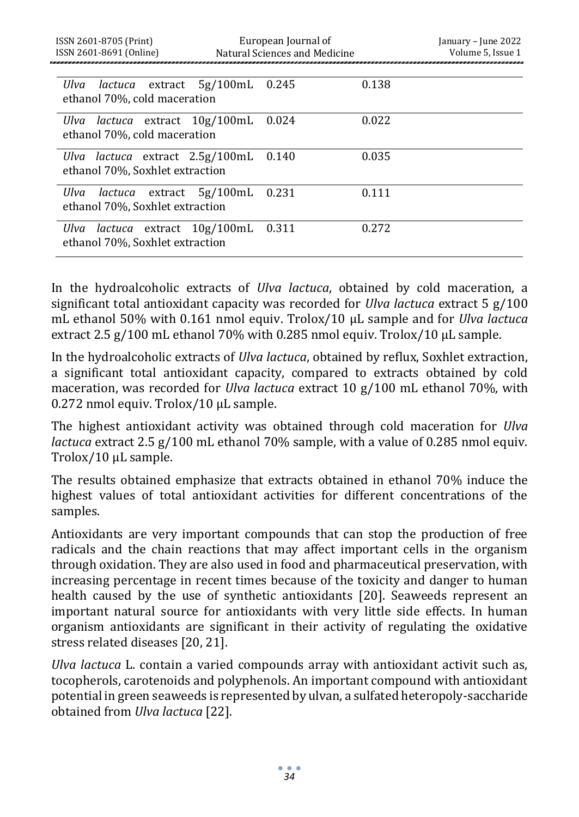| ISSN 2601-8705 (Print)<br>ISSN 2601-8691 (Online)                        | European Journal of<br>Natural Sciences and Medicine |       | January – June 2022<br>Volume 5, Issue 1 |
|--------------------------------------------------------------------------|------------------------------------------------------|-------|------------------------------------------|
| Ulva lactuca extract 5g/100mL<br>ethanol 70%, cold maceration            | 0.245                                                | 0.138 |                                          |
| Ulva lactuca extract 10g/100mL<br>ethanol 70%, cold maceration           | 0.024                                                | 0.022 |                                          |
| Ulva lactuca extract 2.5g/100mL<br>ethanol 70%, Soxhlet extraction       | 0.140                                                | 0.035 |                                          |
| Ulva lactuca extract $5g/100mL$ 0.231<br>ethanol 70%, Soxhlet extraction |                                                      | 0.111 |                                          |
| Ulva lactuca extract 10g/100mL 0.311<br>ethanol 70%, Soxhlet extraction  |                                                      | 0.272 |                                          |

In the hydroalcoholic extracts of *Ulva lactuca*, obtained by cold maceration, a significant total antioxidant capacity was recorded for *Ulva lactuca* extract 5 g/100 mL ethanol 50% with 0.161 nmol equiv. Trolox/10 μL sample and for *Ulva lactuca* extract 2.5 g/100 mL ethanol 70% with 0.285 nmol equiv. Trolox/10 μL sample.

In the hydroalcoholic extracts of *Ulva lactuca*, obtained by reflux, Soxhlet extraction, a significant total antioxidant capacity, compared to extracts obtained by cold maceration, was recorded for *Ulva lactuca* extract 10 g/100 mL ethanol 70%, with 0.272 nmol equiv. Trolox/10 μL sample.

The highest antioxidant activity was obtained through cold maceration for *Ulva lactuca* extract 2.5 g/100 mL ethanol 70% sample, with a value of 0.285 nmol equiv. Trolox/10 μL sample.

The results obtained emphasize that extracts obtained in ethanol 70% induce the highest values of total antioxidant activities for different concentrations of the samples.

Antioxidants are very important compounds that can stop the production of free radicals and the chain reactions that may affect important cells in the organism through oxidation. They are also used in food and pharmaceutical preservation, with increasing percentage in recent times because of the toxicity and danger to human health caused by the use of synthetic antioxidants [20]. Seaweeds represent an important natural source for antioxidants with very little side effects. In human organism antioxidants are significant in their activity of regulating the oxidative stress related diseases [20, 21].

*Ulva lactuca* L. contain a varied compounds array with antioxidant activit such as, tocopherols, carotenoids and polyphenols. An important compound with antioxidant potential in green seaweeds is represented by ulvan, a sulfated heteropoly-saccharide obtained from *Ulva lactuca* [22].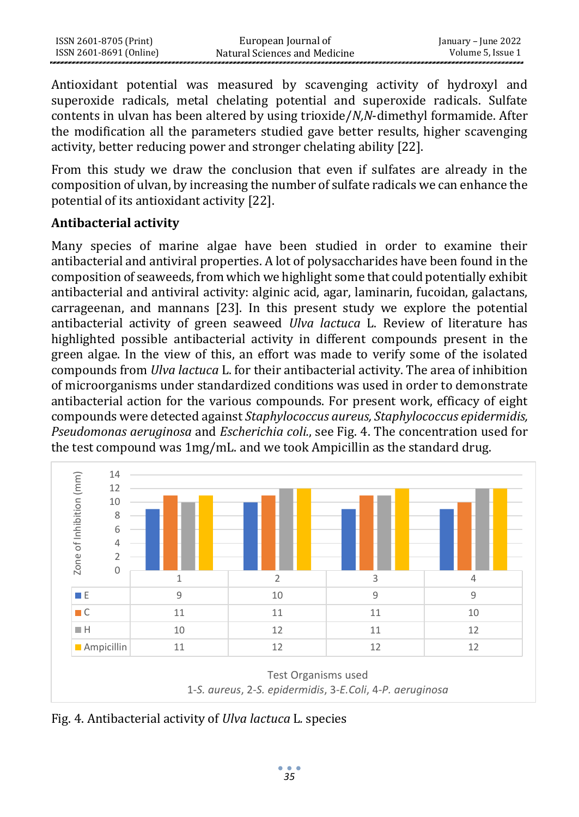Antioxidant potential was measured by scavenging activity of hydroxyl and superoxide radicals, metal chelating potential and superoxide radicals. Sulfate contents in ulvan has been altered by using trioxide/*N,N*-dimethyl formamide. After the modification all the parameters studied gave better results, higher scavenging activity, better reducing power and stronger chelating ability [22].

From this study we draw the conclusion that even if sulfates are already in the composition of ulvan, by increasing the number of sulfate radicals we can enhance the potential of its antioxidant activity [22].

## **Antibacterial activity**

Many species of marine algae have been studied in order to examine their antibacterial and antiviral properties. A lot of polysaccharides have been found in the composition of seaweeds, from which we highlight some that could potentially exhibit antibacterial and antiviral activity: alginic acid, agar, laminarin, fucoidan, galactans, carrageenan, and mannans [23]. In this present study we explore the potential antibacterial activity of green seaweed *Ulva lactuca* L. Review of literature has highlighted possible antibacterial activity in different compounds present in the green algae. In the view of this, an effort was made to verify some of the isolated compounds from *Ulva lactuca* L. for their antibacterial activity. The area of inhibition of microorganisms under standardized conditions was used in order to demonstrate antibacterial action for the various compounds. For present work, efficacy of eight compounds were detected against *Staphylococcus aureus, Staphylococcus epidermidis, Pseudomonas aeruginosa* and *Escherichia coli.*, see Fig. 4. The concentration used for the test compound was 1mg/mL. and we took Ampicillin as the standard drug.



Fig. 4. Antibacterial activity of *Ulva lactuca* L*.* species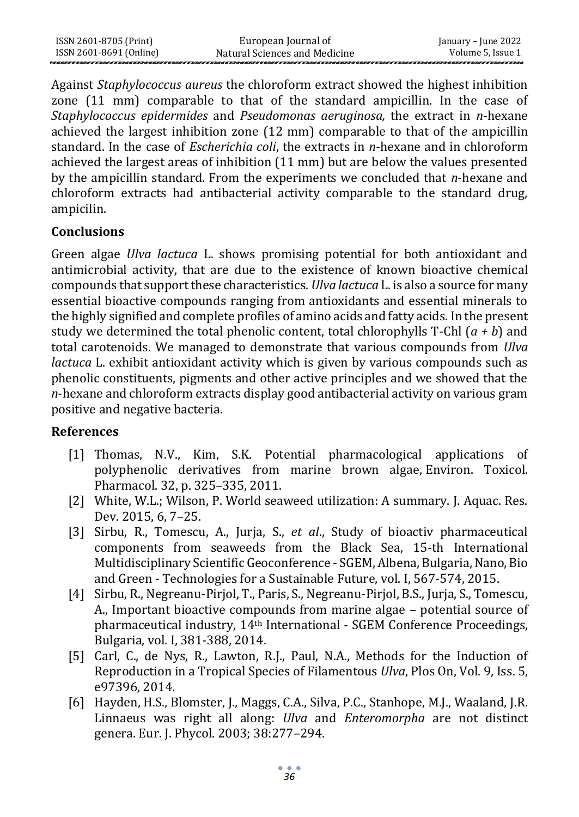| ISSN 2601-8705 (Print)  | European Journal of           | January – June 2022 |
|-------------------------|-------------------------------|---------------------|
| ISSN 2601-8691 (Online) | Natural Sciences and Medicine | Volume 5, Issue 1   |

Against *Staphylococcus aureus* the chloroform extract showed the highest inhibition zone (11 mm) comparable to that of the standard ampicillin. In the case of *Staphylococcus epidermides* and *Pseudomonas aeruginosa,* the extract in *n*-hexane achieved the largest inhibition zone (12 mm) comparable to that of th*e* ampicillin standard. In the case of *Escherichia coli*, the extracts in *n*-hexane and in chloroform achieved the largest areas of inhibition (11 mm) but are below the values presented by the ampicillin standard. From the experiments we concluded that *n*-hexane and chloroform extracts had antibacterial activity comparable to the standard drug, ampicilin.

#### **Conclusions**

Green algae *Ulva lactuca* L. shows promising potential for both antioxidant and antimicrobial activity, that are due to the existence of known bioactive chemical compounds that support these characteristics. *Ulva lactuca* L. is also a source for many essential bioactive compounds ranging from antioxidants and essential minerals to the highly signified and complete profiles of amino acids and fatty acids. In the present study we determined the total phenolic content, total chlorophylls T-Chl (*a + b*) and total carotenoids. We managed to demonstrate that various compounds from *Ulva lactuca* L. exhibit antioxidant activity which is given by various compounds such as phenolic constituents, pigments and other active principles and we showed that the *n*-hexane and chloroform extracts display good antibacterial activity on various gram positive and negative bacteria.

#### **References**

- [1] Thomas, N.V., Kim, S.K. Potential pharmacological applications of polyphenolic derivatives from marine brown algae, Environ. Toxicol. Pharmacol. 32, p. 325–335, 2011.
- [2] White, W.L.; Wilson, P. World seaweed utilization: A summary. J. Aquac. Res. Dev. 2015, 6, 7–25.
- [3] Sirbu, R., Tomescu, A., Jurja, S., *et al*., Study of bioactiv pharmaceutical components from seaweeds from the Black Sea, 15-th International Multidisciplinary Scientific Geoconference - SGEM, Albena, Bulgaria, Nano, Bio and Green - Technologies for a Sustainable Future, vol. I, 567-574, 2015.
- [4] Sirbu, R., Negreanu-Pirjol, T., Paris, S., Negreanu-Pirjol, B.S., Jurja, S., Tomescu, A., Important bioactive compounds from marine algae – potential source of pharmaceutical industry, 14th International - SGEM Conference Proceedings, Bulgaria, vol. I, 381-388, 2014.
- [5] Carl, C., de Nys, R., Lawton, R.J., Paul, N.A., Methods for the Induction of Reproduction in a Tropical Species of Filamentous *Ulva*, Plos On, Vol. 9, Iss. 5, e97396, 2014.
- [6] Hayden, H.S., Blomster, J., Maggs, C.A., Silva, P.C., Stanhope, M.J., Waaland, J.R. Linnaeus was right all along: *Ulva* and *Enteromorpha* are not distinct genera. Eur. J. Phycol. 2003; 38:277–294.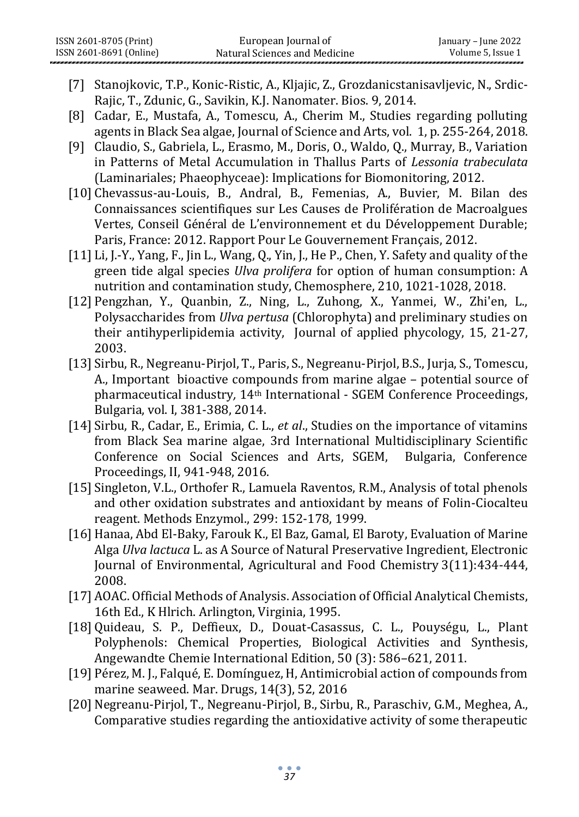- [7] Stanojkovic, T.P., Konic-Ristic, A., Kljajic, Z., Grozdanicstanisavljevic, N., Srdic-Rajic, T., Zdunic, G., Savikin, K.J. Nanomater. Bios. 9, 2014.
- [8] Cadar, E., Mustafa, A., Tomescu, A., Cherim M., Studies regarding polluting agents in Black Sea algae, Journal of Science and Arts, vol. 1, p. 255-264, 2018.
- [9] Claudio, S., Gabriela, L., Erasmo, M., Doris, O., Waldo, Q., Murray, B., Variation in Patterns of Metal Accumulation in Thallus Parts of *Lessonia trabeculata* (Laminariales; Phaeophyceae): Implications for Biomonitoring, 2012.
- [10] Chevassus-au-Louis, B., Andral, B., Femenias, A., Buvier, M. Bilan des Connaissances scientifiques sur Les Causes de Prolifération de Macroalgues Vertes, Conseil Général de L'environnement et du Développement Durable; Paris, France: 2012. Rapport Pour Le Gouvernement Français, 2012.
- [11] Li, J.-Y., Yang, F., Jin L., Wang, Q., Yin, J., He P., Chen, Y. Safety and quality of the green tide algal species *Ulva prolifera* for option of human consumption: A nutrition and contamination study, Chemosphere, 210, 1021-1028, 2018.
- [12] Pengzhan, Y., Quanbin, Z., Ning, L., Zuhong, X., Yanmei, W., Zhi'en, L., Polysaccharides from *Ulva pertusa* (Chlorophyta) and preliminary studies on their antihyperlipidemia activity, Journal of applied phycology, 15, 21-27, 2003.
- [13] Sirbu, R., Negreanu-Pirjol, T., Paris, S., Negreanu-Pirjol, B.S., Jurja, S., Tomescu, A., Important bioactive compounds from marine algae – potential source of pharmaceutical industry*,* 14th International - SGEM Conference Proceedings, Bulgaria, vol. I, 381-388, 2014.
- [14] Sirbu, R., Cadar, E., Erimia, C. L., *et al*., Studies on the importance of vitamins from Black Sea marine algae, 3rd International Multidisciplinary Scientific Conference on Social Sciences and Arts, SGEM, Bulgaria, Conference Proceedings, II, 941-948, 2016.
- [15] Singleton, V.L., Orthofer R., Lamuela Raventos, R.M., Analysis of total phenols and other oxidation substrates and antioxidant by means of Folin-Ciocalteu reagent. Methods Enzymol., 299: 152-178, 1999.
- [16] Hanaa, Abd El-Baky, Farouk K., El Baz, Gamal, El Baroty, Evaluation of Marine Alga *Ulva lactuca* L. as A Source of Natural Preservative Ingredient[, Electronic](https://www.researchgate.net/journal/Electronic-Journal-of-Environmental-Agricultural-and-Food-Chemistry-1579-4377) Journal of [Environmental,](https://www.researchgate.net/journal/Electronic-Journal-of-Environmental-Agricultural-and-Food-Chemistry-1579-4377) Agricultural and Food Chemistry 3(11):434-444, 2008.
- [17] AOAC. Official Methods of Analysis. Association of Official Analytical Chemists, 16th Ed., K Hlrich. Arlington, Virginia, 1995.
- [18] Quideau, S. P., Deffieux, D., Douat-Casassus, C. L., Pouységu, L., Plant Polyphenols: Chemical Properties, Biological Activities and Synthesis, Angewandte Chemie International Edition, 50 (3): 586–621, 2011.
- [19] Pérez, M. J., Falqué, E. Domínguez, H, Antimicrobial action of compounds from marine seaweed. Mar. Drugs, 14(3), 52, 2016
- [20] Negreanu-Pirjol, T., Negreanu-Pirjol, B., Sirbu, R., Paraschiv, G.M., Meghea, A., Comparative studies regarding the antioxidative activity of some therapeutic